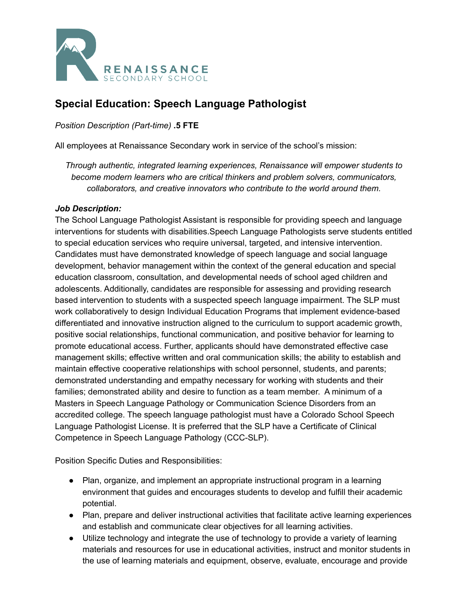

# **Special Education: Speech Language Pathologist**

*Position Description (Part-time)* **.5 FTE**

All employees at Renaissance Secondary work in service of the school's mission:

*Through authentic, integrated learning experiences, Renaissance will empower students to become modern learners who are critical thinkers and problem solvers, communicators, collaborators, and creative innovators who contribute to the world around them.*

### *Job Description:*

The School Language Pathologist Assistant is responsible for providing speech and language interventions for students with disabilities.Speech Language Pathologists serve students entitled to special education services who require universal, targeted, and intensive intervention. Candidates must have demonstrated knowledge of speech language and social language development, behavior management within the context of the general education and special education classroom, consultation, and developmental needs of school aged children and adolescents. Additionally, candidates are responsible for assessing and providing research based intervention to students with a suspected speech language impairment. The SLP must work collaboratively to design Individual Education Programs that implement evidence-based differentiated and innovative instruction aligned to the curriculum to support academic growth, positive social relationships, functional communication, and positive behavior for learning to promote educational access. Further, applicants should have demonstrated effective case management skills; effective written and oral communication skills; the ability to establish and maintain effective cooperative relationships with school personnel, students, and parents; demonstrated understanding and empathy necessary for working with students and their families; demonstrated ability and desire to function as a team member. A minimum of a Masters in Speech Language Pathology or Communication Science Disorders from an accredited college. The speech language pathologist must have a Colorado School Speech Language Pathologist License. It is preferred that the SLP have a Certificate of Clinical Competence in Speech Language Pathology (CCC-SLP).

Position Specific Duties and Responsibilities:

- Plan, organize, and implement an appropriate instructional program in a learning environment that guides and encourages students to develop and fulfill their academic potential.
- Plan, prepare and deliver instructional activities that facilitate active learning experiences and establish and communicate clear objectives for all learning activities.
- Utilize technology and integrate the use of technology to provide a variety of learning materials and resources for use in educational activities, instruct and monitor students in the use of learning materials and equipment, observe, evaluate, encourage and provide